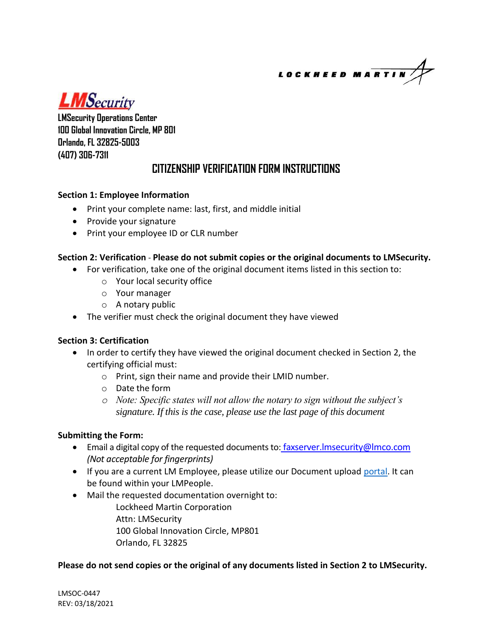LOCKHEED MARTI

**LMSecurity** 

**LMSecurity Operations Center 100 Global Innovation Circle, MP 801 Orlando, FL 32825-5003 (407) 306-7311**

## **CITIZENSHIP VERIFICATION FORM INSTRUCTIONS**

#### **Section 1: Employee Information**

- Print your complete name: last, first, and middle initial
- Provide your signature
- Print your employee ID or CLR number

#### **Section 2: Verification** - **Please do not submit copies or the original documents to LMSecurity.**

- For verification, take one of the original document items listed in this section to:
	- o Your local security office
	- o Your manager
	- o A notary public
- The verifier must check the original document they have viewed

### **Section 3: Certification**

- In order to certify they have viewed the original document checked in Section 2, the certifying official must:
	- o Print, sign their name and provide their LMID number.
	- o Date the form
	- *o Note: Specific states will not allow the notary to sign without the subject's signature. If this is the case, please use the last page of this document*

#### **Submitting the Form:**

- Email a digital copy of the requested documents to: faxserver. Imsecurity@lmco.com *(Not acceptable for fingerprints)*
- If you are a current LM Employee, please utilize our Document upload [portal.](https://cdup.lmsecurity-apps.us.lmco.com/) It can be found within your LMPeople.
- Mail the requested documentation overnight to:
	- Lockheed Martin Corporation Attn: LMSecurity 100 Global Innovation Circle, MP801 Orlando, FL 32825

#### **Please do not send copies or the original of any documents listed in Section 2 to LMSecurity.**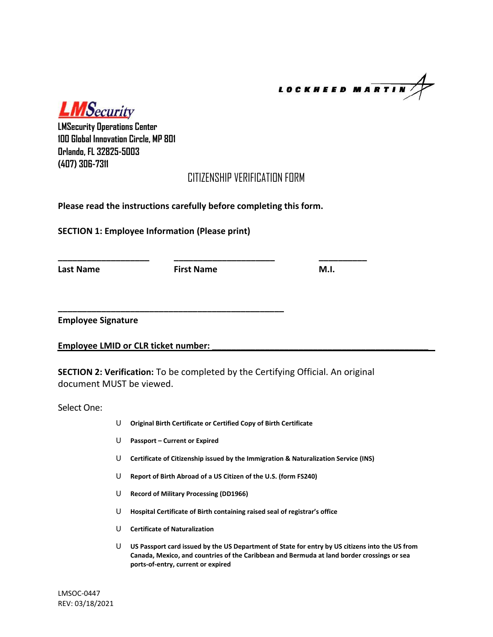**LOCKHEED MARTIN** 

**LMSecurity** 

**LMSecurity Operations Center 100 Global Innovation Circle, MP 801 Orlando, FL 32825-5003 (407) 306-7311**

### CITIZENSHIP VERIFICATION FORM

**Please read the instructions carefully before completing this form.**

**SECTION 1: Employee Information (Please print)** 

Last Name **First Name M.I. CONSISTENT** 

**\_\_\_\_\_\_\_\_\_\_\_\_\_\_\_\_\_\_\_ \_\_\_\_\_\_\_\_\_\_\_\_\_\_\_\_\_\_\_\_\_ \_\_\_\_\_\_\_\_\_\_**

**Employee Signature**

**Employee LMID or CLR ticket number:** 

**SECTION 2: Verification:** To be completed by the Certifying Official. An original document MUST be viewed.

Select One:

- U **Original Birth Certificate or Certified Copy of Birth Certificate**
- U **Passport – Current or Expired**

**\_\_\_\_\_\_\_\_\_\_\_\_\_\_\_\_\_\_\_\_\_\_\_\_\_\_\_\_\_\_\_\_\_\_\_\_\_\_\_\_\_\_\_\_\_\_\_**

- U **Certificate of Citizenship issued by the Immigration & Naturalization Service (INS)**
- U **Report of Birth Abroad of a US Citizen of the U.S. (form FS240)**
- U **Record of Military Processing (DD1966)**
- U **Hospital Certificate of Birth containing raised seal of registrar's office**
- U **Certificate of Naturalization**
- U **US Passport card issued by the US Department of State for entry by US citizens into the US from Canada, Mexico, and countries of the Caribbean and Bermuda at land border crossings or sea ports-of-entry, current or expired**

LMSOC-0447 REV: 03/18/2021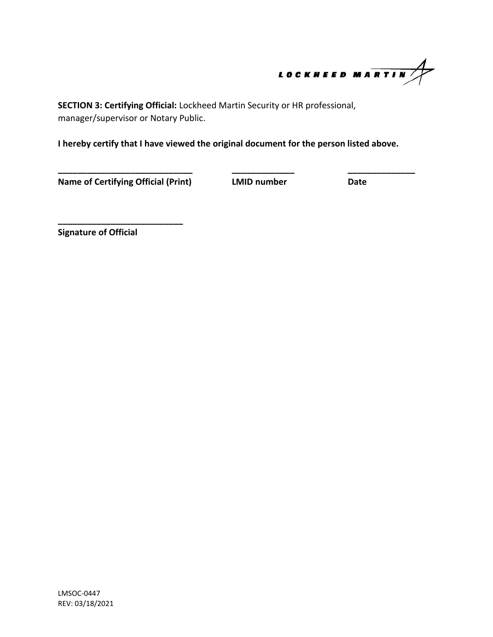

**SECTION 3: Certifying Official:** Lockheed Martin Security or HR professional, manager/supervisor or Notary Public.

**I hereby certify that I have viewed the original document for the person listed above.** 

**\_\_\_\_\_\_\_\_\_\_\_\_\_\_\_\_\_\_\_\_\_\_\_\_\_\_\_\_ \_\_\_\_\_\_\_\_\_\_\_\_\_ \_\_\_\_\_\_\_\_\_\_\_\_\_\_**

**Name of Certifying Official (Print) LMID number Date**

**\_\_\_\_\_\_\_\_\_\_\_\_\_\_\_\_\_\_\_\_\_\_\_\_\_\_**

**Signature of Official**